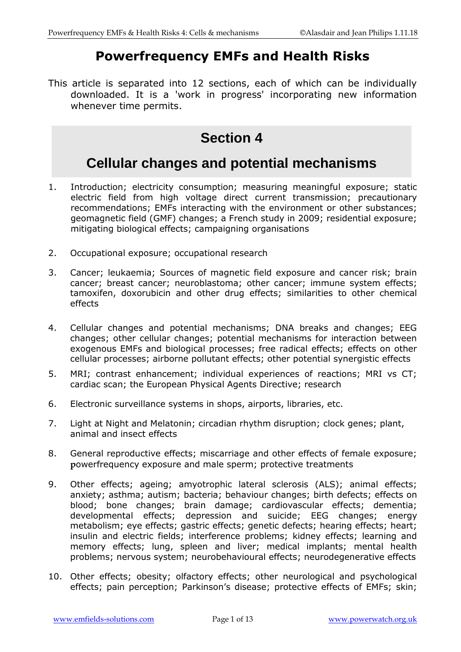## **Powerfrequency EMFs and Health Risks**

This article is separated into 12 sections, each of which can be individually downloaded. It is a 'work in progress' incorporating new information whenever time permits.

# **Section 4**

# **Cellular changes and potential mechanisms**

- 1. Introduction; electricity consumption; measuring meaningful exposure; static electric field from high voltage direct current transmission; precautionary recommendations; EMFs interacting with the environment or other substances; geomagnetic field (GMF) changes; a French study in 2009; residential exposure; mitigating biological effects; campaigning organisations
- 2. Occupational exposure; occupational research
- 3. Cancer; leukaemia; Sources of magnetic field exposure and cancer risk; brain cancer; breast cancer; neuroblastoma; other cancer; immune system effects; tamoxifen, doxorubicin and other drug effects; similarities to other chemical effects
- 4. Cellular changes and potential mechanisms; DNA breaks and changes; EEG changes; other cellular changes; potential mechanisms for interaction between exogenous EMFs and biological processes; free radical effects; effects on other cellular processes; airborne pollutant effects; other potential synergistic effects
- 5. MRI; contrast enhancement; individual experiences of reactions; MRI vs CT; cardiac scan; the European Physical Agents Directive; research
- 6. Electronic surveillance systems in shops, airports, libraries, etc.
- 7. Light at Night and Melatonin; circadian rhythm disruption; clock genes; plant, animal and insect effects
- 8. General reproductive effects; miscarriage and other effects of female exposure; **p**owerfrequency exposure and male sperm; protective treatments
- 9. Other effects; ageing; amyotrophic lateral sclerosis (ALS); animal effects; anxiety; asthma; autism; bacteria; behaviour changes; birth defects; effects on blood; bone changes; brain damage; cardiovascular effects; dementia; developmental effects; depression and suicide; EEG changes; energy metabolism; eye effects; gastric effects; genetic defects; hearing effects; heart; insulin and electric fields; interference problems; kidney effects; learning and memory effects; lung, spleen and liver; medical implants; mental health problems; nervous system; neurobehavioural effects; neurodegenerative effects
- 10. Other effects; obesity; olfactory effects; other neurological and psychological effects; pain perception; Parkinson's disease; protective effects of EMFs; skin;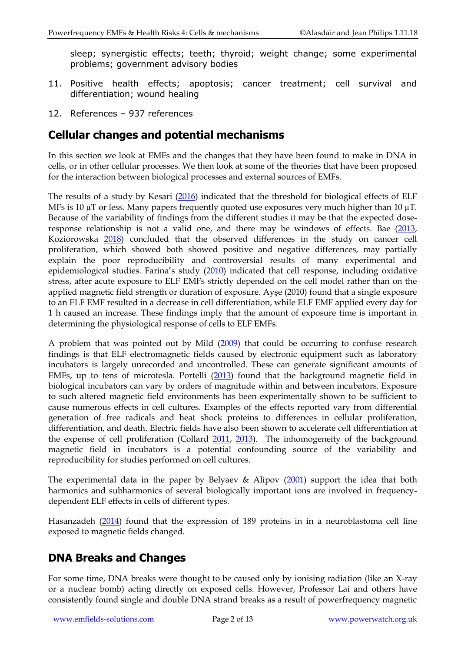sleep; synergistic effects; teeth; thyroid; weight change; some experimental problems; government advisory bodies

- 11. Positive health effects; apoptosis; cancer treatment; cell survival and differentiation; wound healing
- 12. References 937 references

### **Cellular changes and potential mechanisms**

In this section we look at EMFs and the changes that they have been found to make in DNA in cells, or in other cellular processes. We then look at some of the theories that have been proposed for the interaction between biological processes and external sources of EMFs.

The results of a study by Kesari [\(2016\)](http://www.ncbi.nlm.nih.gov/pubmed/26791000) indicated that the threshold for biological effects of ELF MFs is 10  $\mu$ T or less. Many papers frequently quoted use exposures very much higher than 10  $\mu$ T. Because of the variability of findings from the different studies it may be that the expected dose-response relationship is not a valid one, and there may be windows of effects. Bae [\(2013,](https://www.ncbi.nlm.nih.gov/pubmed/23859432) Koziorowska [2018\)](https://www.ncbi.nlm.nih.gov/pubmed/29513614) concluded that the observed differences in the study on cancer cell proliferation, which showed both showed positive and negative differences, may partially explain the poor reproducibility and controversial results of many experimental and epidemiological studies. Farina's study [\(2010\)](https://www.ncbi.nlm.nih.gov/pubmed/20707646) indicated that cell response, including oxidative stress, after acute exposure to ELF EMFs strictly depended on the cell model rather than on the applied magnetic field strength or duration of exposure. Ayşe (2010) found that a single exposure to an ELF EMF resulted in a decrease in cell differentiation, while ELF EMF applied every day for 1 h caused an increase. These findings imply that the amount of exposure time is important in determining the physiological response of cells to ELF EMFs.

A problem that was pointed out by Mild [\(2009\)](http://www.ncbi.nlm.nih.gov/pubmed/19393752) that could be occurring to confuse research findings is that ELF electromagnetic fields caused by electronic equipment such as laboratory incubators is largely unrecorded and uncontrolled. These can generate significant amounts of EMFs, up to tens of microtesla. Portelli [\(2013\)](http://www.ncbi.nlm.nih.gov/pubmed/23457052) found that the background magnetic field in biological incubators can vary by orders of magnitude within and between incubators. Exposure to such altered magnetic field environments has been experimentally shown to be sufficient to cause numerous effects in cell cultures. Examples of the effects reported vary from differential generation of free radicals and heat shock proteins to differences in cellular proliferation, differentiation, and death. Electric fields have also been shown to accelerate cell differentiation at the expense of cell proliferation (Collard [2011,](http://www.ncbi.nlm.nih.gov/pubmed/20809503) [2013\)](https://www.ncbi.nlm.nih.gov/pubmed/23257322). The inhomogeneity of the background magnetic field in incubators is a potential confounding source of the variability and reproducibility for studies performed on cell cultures.

The experimental data in the paper by Belyaev & Alipov [\(2001\)](http://www.ncbi.nlm.nih.gov/pubmed/11410336) support the idea that both harmonics and subharmonics of several biologically important ions are involved in frequencydependent ELF effects in cells of different types.

Hasanzadeh [\(2014\)](http://www.ncbi.nlm.nih.gov/pubmed/25250144) found that the expression of 189 proteins in in a neuroblastoma cell line exposed to magnetic fields changed.

### **DNA Breaks and Changes**

For some time, DNA breaks were thought to be caused only by ionising radiation (like an X-ray or a nuclear bomb) acting directly on exposed cells. However, Professor Lai and others have consistently found single and double DNA strand breaks as a result of powerfrequency magnetic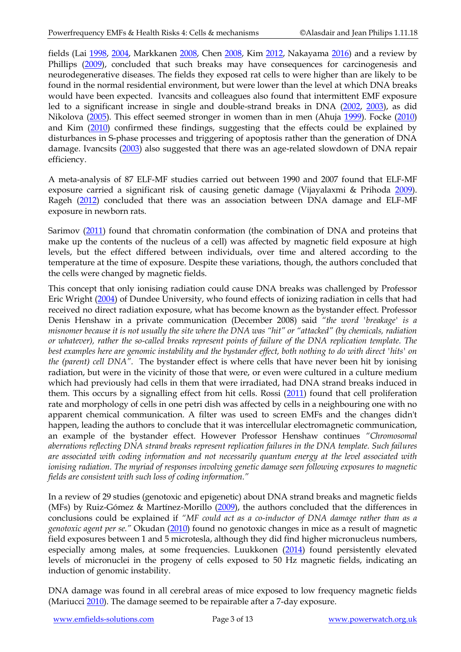fields (Lai [1998,](http://www.ncbi.nlm.nih.gov/entrez/query.fcgi?db=pubmed&cmd=Retrieve&dopt=AbstractPlus&list_uids=9685689&query_hl=8&itool=pubmed_docsum) [2004,](http://www.ncbi.nlm.nih.gov/entrez/query.fcgi?db=pubmed&cmd=Retrieve&dopt=AbstractPlus&list_uids=15121512&query_hl=8&itool=pubmed_docsum) Markkanen [2008,](http://www.ncbi.nlm.nih.gov/pubmed/18821388) Chen [2008,](http://www.ncbi.nlm.nih.gov/pubmed/18275114) Kim [2012,](https://www.ncbi.nlm.nih.gov/pubmed/22180328) Nakayama [2016\)](https://www.ncbi.nlm.nih.gov/pubmed/27430265) and a review by Phillips [\(2009\)](http://www.ncbi.nlm.nih.gov/pubmed/19264461), concluded that such breaks may have consequences for carcinogenesis and neurodegenerative diseases. The fields they exposed rat cells to were higher than are likely to be found in the normal residential environment, but were lower than the level at which DNA breaks would have been expected. Ivancsits and colleagues also found that intermittent EMF exposure led to a significant increase in single and double-strand breaks in DNA [\(2002,](http://www.ncbi.nlm.nih.gov/entrez/query.fcgi?itool=abstractplus&db=pubmed&cmd=Retrieve&dopt=abstractplus&list_uids=12160887) [2003\)](http://www.ncbi.nlm.nih.gov/entrez/query.fcgi?db=pubmed&cmd=Retrieve&dopt=AbstractPlus&list_uids=12802592&query_hl=41&itool=pubmed_docsum), as did Nikolova [\(2005\)](http://www.ncbi.nlm.nih.gov/pubmed/16116041). This effect seemed stronger in women than in men (Ahuja [1999\)](https://www.ncbi.nlm.nih.gov/pubmed/10844981). Focke [\(2010\)](http://www.ncbi.nlm.nih.gov/pubmed/19896957) and Kim [\(2010\)](http://www.ncbi.nlm.nih.gov/pubmed/20816755) confirmed these findings, suggesting that the effects could be explained by disturbances in S-phase processes and triggering of apoptosis rather than the generation of DNA damage. Ivancsits [\(2003\)](https://www.ncbi.nlm.nih.gov/pubmed/12875748) also suggested that there was an age-related slowdown of DNA repair efficiency.

A meta-analysis of 87 ELF-MF studies carried out between 1990 and 2007 found that ELF-MF exposure carried a significant risk of causing genetic damage (Vijayalaxmi & Prihoda [2009\)](http://www.ncbi.nlm.nih.gov/pubmed/19296340). Rageh [\(2012\)](http://www.ncbi.nlm.nih.gov/pubmed/23091355) concluded that there was an association between DNA damage and ELF-MF exposure in newborn rats.

Sarimov [\(2011\)](http://www.ncbi.nlm.nih.gov/pubmed/21500233) found that chromatin conformation (the combination of DNA and proteins that make up the contents of the nucleus of a cell) was affected by magnetic field exposure at high levels, but the effect differed between individuals, over time and altered according to the temperature at the time of exposure. Despite these variations, though, the authors concluded that the cells were changed by magnetic fields.

This concept that only ionising radiation could cause DNA breaks was challenged by Professor Eric Wright [\(2004\)](http://www.ncbi.nlm.nih.gov/pubmed/15070067) of Dundee University, who found effects of ionizing radiation in cells that had received no direct radiation exposure, what has become known as the bystander effect. Professor Denis Henshaw in a private communication (December 2008) said *"the word 'breakage' is a misnomer because it is not usually the site where the DNA was "hit" or "attacked" (by chemicals, radiation or whatever), rather the so-called breaks represent points of failure of the DNA replication template. The best examples here are genomic instability and the bystander effect, both nothing to do with direct 'hits' on the (parent) cell DNA".* The bystander effect is where cells that have never been hit by ionising radiation, but were in the vicinity of those that were, or even were cultured in a culture medium which had previously had cells in them that were irradiated, had DNA strand breaks induced in them. This occurs by a signalling effect from hit cells. Rossi [\(2011\)](http://www.ncbi.nlm.nih.gov/pubmed/21569849) found that cell proliferation rate and morphology of cells in one petri dish was affected by cells in a neighbouring one with no apparent chemical communication. A filter was used to screen EMFs and the changes didn't happen, leading the authors to conclude that it was intercellular electromagnetic communication, an example of the bystander effect. However Professor Henshaw continues *"Chromosomal aberrations reflecting DNA strand breaks represent replication failures in the DNA template. Such failures are associated with coding information and not necessarily quantum energy at the level associated with ionising radiation. The myriad of responses involving genetic damage seen following exposures to magnetic fields are consistent with such loss of coding information."*

In a review of 29 studies (genotoxic and epigenetic) about DNA strand breaks and magnetic fields (MFs) by Ruiz-Gómez & Martínez-Morillo [\(2009\)](http://www.ncbi.nlm.nih.gov/pubmed/19811402), the authors concluded that the differences in conclusions could be explained if *"MF could act as a co-inductor of DNA damage rather than as a genotoxic agent per se."* Okudan [\(2010\)](http://www.ncbi.nlm.nih.gov/pubmed/20424591) found no genotoxic changes in mice as a result of magnetic field exposures between 1 and 5 microtesla, although they did find higher micronucleus numbers, especially among males, at some frequencies. Luukkonen [\(2014\)](http://www.ncbi.nlm.nih.gov/pubmed/24374227) found persistently elevated levels of micronuclei in the progeny of cells exposed to 50 Hz magnetic fields, indicating an induction of genomic instability.

DNA damage was found in all cerebral areas of mice exposed to low frequency magnetic fields (Mariucci [2010\)](http://www.ncbi.nlm.nih.gov/pubmed/20569191). The damage seemed to be repairable after a 7-day exposure.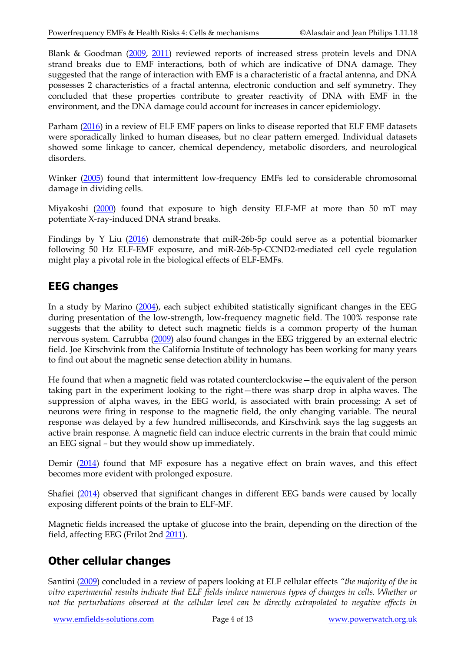Blank & Goodman [\(2009,](http://www.ncbi.nlm.nih.gov/pubmed/19268550) [2011\)](http://www.ncbi.nlm.nih.gov/pubmed/21457072) reviewed reports of increased stress protein levels and DNA strand breaks due to EMF interactions, both of which are indicative of DNA damage. They suggested that the range of interaction with EMF is a characteristic of a fractal antenna, and DNA possesses 2 characteristics of a fractal antenna, electronic conduction and self symmetry. They concluded that these properties contribute to greater reactivity of DNA with EMF in the environment, and the DNA damage could account for increases in cancer epidemiology.

Parham [\(2016\)](https://www.ncbi.nlm.nih.gov/pubmed/27656641) in a review of ELF EMF papers on links to disease reported that ELF EMF datasets were sporadically linked to human diseases, but no clear pattern emerged. Individual datasets showed some linkage to cancer, chemical dependency, metabolic disorders, and neurological disorders.

Winker [\(2005\)](http://0.244.73.123/) found that intermittent low-frequency EMFs led to considerable chromosomal damage in dividing cells.

Miyakoshi [\(2000\)](https://www.ncbi.nlm.nih.gov/pubmed/11210830) found that exposure to high density ELF-MF at more than 50 mT may potentiate X-ray-induced DNA strand breaks.

Findings by Y Liu [\(2016\)](https://www.ncbi.nlm.nih.gov/pubmed/26637059) demonstrate that miR-26b-5p could serve as a potential biomarker following 50 Hz ELF-EMF exposure, and miR-26b-5p-CCND2-mediated cell cycle regulation might play a pivotal role in the biological effects of ELF-EMFs.

## **EEG changes**

In a study by Marino [\(2004\)](http://www.ncbi.nlm.nih.gov/pubmed/15066545), each subject exhibited statistically significant changes in the EEG during presentation of the low-strength, low-frequency magnetic field. The 100% response rate suggests that the ability to detect such magnetic fields is a common property of the human nervous system. Carrubba [\(2009\)](http://www.ncbi.nlm.nih.gov/pubmed/19557602) also found changes in the EEG triggered by an external electric field. Joe Kirschvink from the California Institute of technology has been working for many years to find out about the magnetic sense detection ability in humans.

He found that when a magnetic field was rotated counterclockwise—the equivalent of the person taking part in the experiment looking to the right—there was sharp drop in alpha waves. The suppression of alpha waves, in the EEG world, is associated with brain processing: A set of neurons were firing in response to the magnetic field, the only changing variable. The neural response was delayed by a few hundred milliseconds, and Kirschvink says the lag suggests an active brain response. A magnetic field can induce electric currents in the brain that could mimic an EEG signal – but they would show up immediately.

Demir [\(2014\)](https://www.ncbi.nlm.nih.gov/pubmed/25536740) found that MF exposure has a negative effect on brain waves, and this effect becomes more evident with prolonged exposure.

Shafiei [\(2014\)](http://www.ncbi.nlm.nih.gov/pubmed/24864004) observed that significant changes in different EEG bands were caused by locally exposing different points of the brain to ELF-MF.

Magnetic fields increased the uptake of glucose into the brain, depending on the direction of the field, affecting EEG (Frilot 2nd [2011\)](http://www.ncbi.nlm.nih.gov/pubmed/21484881).

## **Other cellular changes**

Santini [\(2009\)](http://www.ncbi.nlm.nih.gov/pubmed/19399675) concluded in a review of papers looking at ELF cellular effects *"the majority of the in vitro experimental results indicate that ELF fields induce numerous types of changes in cells. Whether or not the perturbations observed at the cellular level can be directly extrapolated to negative effects in*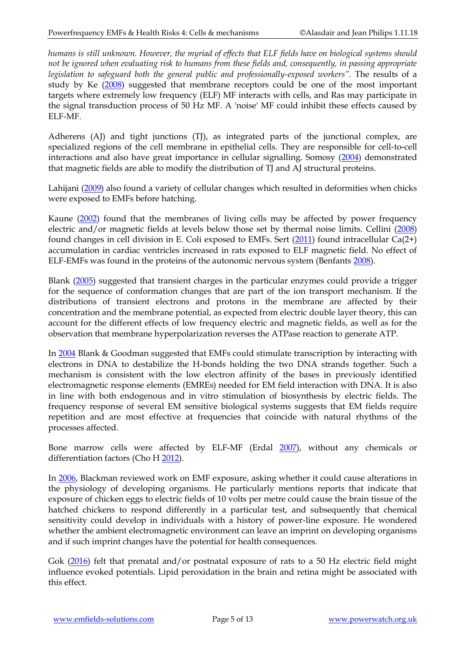*humans is still unknown. However, the myriad of effects that ELF fields have on biological systems should not be ignored when evaluating risk to humans from these fields and, consequently, in passing appropriate legislation to safeguard both the general public and professionally-exposed workers".* The results of a study by Ke [\(2008\)](http://www.ncbi.nlm.nih.gov/pubmed/18464070) suggested that membrane receptors could be one of the most important targets where extremely low frequency (ELF) MF interacts with cells, and Ras may participate in the signal transduction process of 50 Hz MF. A 'noise' MF could inhibit these effects caused by ELF-MF.

Adherens (AJ) and tight junctions (TJ), as integrated parts of the junctional complex, are specialized regions of the cell membrane in epithelial cells. They are responsible for cell-to-cell interactions and also have great importance in cellular signalling. Somosy [\(2004\)](http://www.ncbi.nlm.nih.gov/pubmed/15517105) demonstrated that magnetic fields are able to modify the distribution of TJ and AJ structural proteins.

Lahijani [\(2009\)](http://www.ncbi.nlm.nih.gov/pubmed/20017630) also found a variety of cellular changes which resulted in deformities when chicks were exposed to EMFs before hatching.

Kaune [\(2002\)](http://www.ncbi.nlm.nih.gov/sites/entrez?Db=pubmed&Cmd=ShowDetailView&TermToSearch=12395418&ordinalpos=3&itool=EntrezSystem2.PEntrez.Pubmed.Pubmed_ResultsPanel.Pubmed_RVDocSum) found that the membranes of living cells may be affected by power frequency electric and/or magnetic fields at levels below those set by thermal noise limits. Cellini [\(2008\)](http://www.ncbi.nlm.nih.gov/pubmed/18175330) found changes in cell division in E. Coli exposed to EMFs. Sert [\(2011\)](http://www.ncbi.nlm.nih.gov/pubmed/21554099) found intracellular Ca(2+) accumulation in cardiac ventricles increased in rats exposed to ELF magnetic field. No effect of ELF-EMFs was found in the proteins of the autonomic nervous system (Benfants [2008\)](http://www.ncbi.nlm.nih.gov/pubmed?term=18572378).

Blank [\(2005\)](http://www.ncbi.nlm.nih.gov/pubmed/16189824) suggested that transient charges in the particular enzymes could provide a trigger for the sequence of conformation changes that are part of the ion transport mechanism. If the distributions of transient electrons and protons in the membrane are affected by their concentration and the membrane potential, as expected from electric double layer theory, this can account for the different effects of low frequency electric and magnetic fields, as well as for the observation that membrane hyperpolarization reverses the ATPase reaction to generate ATP.

In [2004](http://www.ncbi.nlm.nih.gov/pubmed/15095282) Blank & Goodman suggested that EMFs could stimulate transcription by interacting with electrons in DNA to destabilize the H-bonds holding the two DNA strands together. Such a mechanism is consistent with the low electron affinity of the bases in previously identified electromagnetic response elements (EMREs) needed for EM field interaction with DNA. It is also in line with both endogenous and in vitro stimulation of biosynthesis by electric fields. The frequency response of several EM sensitive biological systems suggests that EM fields require repetition and are most effective at frequencies that coincide with natural rhythms of the processes affected.

Bone marrow cells were affected by ELF-MF (Erdal [2007\)](http://www.ncbi.nlm.nih.gov/pubmed/17452120), without any chemicals or differentiation factors (Cho H [2012\)](http://www.ncbi.nlm.nih.gov/pubmed/22848041).

In [2006,](http://www.ncbi.nlm.nih.gov/pubmed/17178582) Blackman reviewed work on EMF exposure, asking whether it could cause alterations in the physiology of developing organisms. He particularly mentions reports that indicate that exposure of chicken eggs to electric fields of 10 volts per metre could cause the brain tissue of the hatched chickens to respond differently in a particular test, and subsequently that chemical sensitivity could develop in individuals with a history of power-line exposure. He wondered whether the ambient electromagnetic environment can leave an imprint on developing organisms and if such imprint changes have the potential for health consequences.

Gok [\(2016\)](https://www.ncbi.nlm.nih.gov/pubmed/25496054) felt that prenatal and/or postnatal exposure of rats to a 50 Hz electric field might influence evoked potentials. Lipid peroxidation in the brain and retina might be associated with this effect.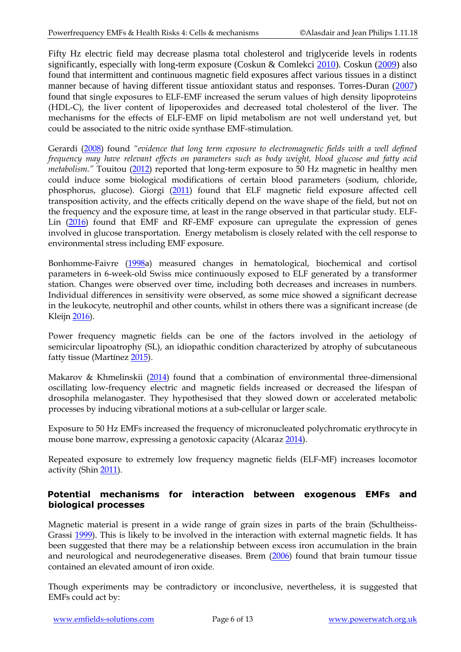Fifty Hz electric field may decrease plasma total cholesterol and triglyceride levels in rodents significantly, especially with long-term exposure (Coskun & Comlekci [2010\)](http://www.ncbi.nlm.nih.gov/pubmed/21088055). Coskun [\(2009\)](http://www.ncbi.nlm.nih.gov/pubmed/18563561) also found that intermittent and continuous magnetic field exposures affect various tissues in a distinct manner because of having different tissue antioxidant status and responses. Torres-Duran [\(2007\)](http://www.ncbi.nlm.nih.gov/pubmed/18021407) found that single exposures to ELF-EMF increased the serum values of high density lipoproteins (HDL-C), the liver content of lipoperoxides and decreased total cholesterol of the liver. The mechanisms for the effects of ELF-EMF on lipid metabolism are not well understand yet, but could be associated to the nitric oxide synthase EMF-stimulation.

Gerardi [\(2008\)](http://www.ncbi.nlm.nih.gov/pubmed/18380892?ordinalpos=1&itool=EntrezSystem2.PEntrez.Pubmed.Pubmed_ResultsPanel.Pubmed_DefaultReportPanel.Pubmed_RVDocSum) found *"evidence that long term exposure to electromagnetic fields with a well defined frequency may have relevant effects on parameters such as body weight, blood glucose and fatty acid metabolism."* Touitou [\(2012\)](https://www.ncbi.nlm.nih.gov/pubmed/22261092) reported that long-term exposure to 50 Hz magnetic in healthy men could induce some biological modifications of certain blood parameters (sodium, chloride, phosphorus, glucose). Giorgi [\(2011\)](http://www.ncbi.nlm.nih.gov/pubmed/21504343) found that ELF magnetic field exposure affected cell transposition activity, and the effects critically depend on the wave shape of the field, but not on the frequency and the exposure time, at least in the range observed in that particular study. ELF-Lin [\(2016\)](https://www.ncbi.nlm.nih.gov/pubmed/27630630) found that EMF and RF-EMF exposure can upregulate the expression of genes involved in glucose transportation. Energy metabolism is closely related with the cell response to environmental stress including EMF exposure.

Bonhomme-Faivre [\(1998a](https://www.ncbi.nlm.nih.gov/pubmed/9570342)) measured changes in hematological, biochemical and cortisol parameters in 6-week-old Swiss mice continuously exposed to ELF generated by a transformer station. Changes were observed over time, including both decreases and increases in numbers. Individual differences in sensitivity were observed, as some mice showed a significant decrease in the leukocyte, neutrophil and other counts, whilst in others there was a significant increase (de Kleij[n 2016\)](https://www.ncbi.nlm.nih.gov/pubmed/27553635).

Power frequency magnetic fields can be one of the factors involved in the aetiology of semicircular lipoatrophy (SL), an idiopathic condition characterized by atrophy of subcutaneous fatty tissue (Martínez [2015\)](http://www.ncbi.nlm.nih.gov/pubmed/26625130).

Makarov & Khmelinskii [\(2014\)](http://www.ncbi.nlm.nih.gov/pubmed/23977947) found that a combination of environmental three-dimensional oscillating low-frequency electric and magnetic fields increased or decreased the lifespan of drosophila melanogaster. They hypothesised that they slowed down or accelerated metabolic processes by inducing vibrational motions at a sub-cellular or larger scale.

Exposure to 50 Hz EMFs increased the frequency of micronucleated polychromatic erythrocyte in mouse bone marrow, expressing a genotoxic capacity (Alcara[z 2014\)](http://www.ncbi.nlm.nih.gov/pubmed/23781994).

Repeated exposure to extremely low frequency magnetic fields (ELF-MF) increases locomotor activity (Shin [2011\)](http://www.ncbi.nlm.nih.gov/pubmed/22110371).

#### **Potential mechanisms for interaction between exogenous EMFs and biological processes**

Magnetic material is present in a wide range of grain sizes in parts of the brain (Schultheiss-Grassi [1999\)](http://www.ncbi.nlm.nih.gov/pubmed/9878742). This is likely to be involved in the interaction with external magnetic fields. It has been suggested that there may be a relationship between excess iron accumulation in the brain and neurological and neurodegenerative diseases. Brem [\(2006\)](http://www.ncbi.nlm.nih.gov/pubmed/17015303) found that brain tumour tissue contained an elevated amount of iron oxide.

Though experiments may be contradictory or inconclusive, nevertheless, it is suggested that EMFs could act by: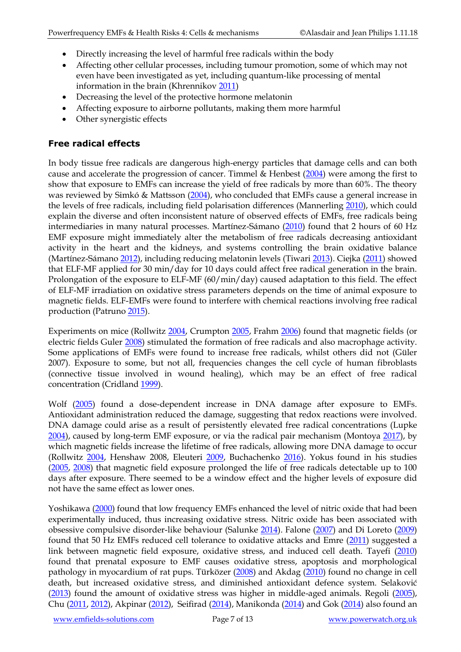- Directly increasing the level of harmful free radicals within the body
- Affecting other cellular processes, including tumour promotion, some of which may not even have been investigated as yet, including quantum-like processing of mental information in the brain (Khrennikov [2011\)](http://www.ncbi.nlm.nih.gov/pubmed/21683119)
- Decreasing the level of the protective hormone melatonin
- Affecting exposure to airborne pollutants, making them more harmful
- Other synergistic effects

#### **Free radical effects**

In body tissue free radicals are dangerous high-energy particles that damage cells and can both cause and accelerate the progression of cancer. Timmel & Henbest [\(2004\)](http://www.ncbi.nlm.nih.gov/pubmed/15539359) were among the first to show that exposure to EMFs can increase the yield of free radicals by more than 60%. The theory was reviewed by Simkó & Mattsson [\(2004\)](http://www.ncbi.nlm.nih.gov/pubmed/15352165), who concluded that EMFs cause a general increase in the levels of free radicals, including field polarisation differences (Mannerling [2010\)](https://www.ncbi.nlm.nih.gov/pubmed/20582429), which could explain the diverse and often inconsistent nature of observed effects of EMFs, free radicals being intermediaries in many natural processes. Martínez-Sámano [\(2010\)](http://www.ncbi.nlm.nih.gov/pubmed/20701462) found that 2 hours of 60 Hz EMF exposure might immediately alter the metabolism of free radicals decreasing antioxidant activity in the heart and the kidneys, and systems controlling the brain oxidative balance (Martínez-Sámano [2012\)](http://www.ncbi.nlm.nih.gov/pubmed/22560984), including reducing melatonin levels (Tiwari [2013\)](https://www.emf-portal.org/en/article/26400). Ciejka [\(2011\)](https://www.ncbi.nlm.nih.gov/pubmed/22314568) showed that ELF-MF applied for 30 min/day for 10 days could affect free radical generation in the brain. Prolongation of the exposure to ELF-MF (60/min/day) caused adaptation to this field. The effect of ELF-MF irradiation on oxidative stress parameters depends on the time of animal exposure to magnetic fields. ELF-EMFs were found to interfere with chemical reactions involving free radical production (Patruno [2015\)](http://www.ncbi.nlm.nih.gov/pubmed/25498893).

Experiments on mice (Rollwitz [2004,](http://www.ncbi.nlm.nih.gov/pubmed/15541292?ordinalpos=3&itool=EntrezSystem2.PEntrez.Pubmed.Pubmed_ResultsPanel.Pubmed_RVDocSum) Crumpton [2005,](http://www.ncbi.nlm.nih.gov/pubmed/16147518) Frahm [2006\)](http://www.ncbi.nlm.nih.gov/sites/entrez?Db=pubmed&Cmd=ShowDetailView&TermToSearch=16598759&ordinalpos=1&itool=EntrezSystem2.PEntrez.Pubmed.Pubmed_ResultsPanel.Pubmed_RVDocSum) found that magnetic fields (or electric fields Guler [2008\)](http://www.ncbi.nlm.nih.gov/pubmed/18661381) stimulated the formation of free radicals and also macrophage activity. Some applications of EMFs were found to increase free radicals, whilst others did not (Güler 2007). Exposure to some, but not all, frequencies changes the cell cycle of human fibroblasts (connective tissue involved in wound healing), which may be an effect of free radical concentration (Cridland [1999\)](http://www.ncbi.nlm.nih.gov/pubmed/10495310).

Wolf [\(2005\)](http://www.ncbi.nlm.nih.gov/sites/entrez?Db=pubmed&Cmd=ShowDetailView&TermToSearch=15777847&ordinalpos=2&itool=EntrezSystem2.PEntrez.Pubmed.Pubmed_ResultsPanel.Pubmed_RVDocSum) found a dose-dependent increase in DNA damage after exposure to EMFs. Antioxidant administration reduced the damage, suggesting that redox reactions were involved. DNA damage could arise as a result of persistently elevated free radical concentrations (Lupke [2004\)](http://www.ncbi.nlm.nih.gov/pubmed/15621717), caused by long-term EMF exposure, or via the radical pair mechanism (Montoya [2017\)](https://www.ncbi.nlm.nih.gov/pubmed/27399314), by which magnetic fields increase the lifetime of free radicals, allowing more DNA damage to occur (Rollwitz [2004,](http://www.ncbi.nlm.nih.gov/pubmed/15352165) Henshaw 2008, Eleuteri [2009,](http://www.ncbi.nlm.nih.gov/pubmed/19672456) Buchachenko [2016\)](http://www.ncbi.nlm.nih.gov/pubmed/26769167). Yokus found in his studies [\(2005,](http://www.ncbi.nlm.nih.gov/sites/entrez?Db=pubmed&Cmd=ShowDetailView&TermToSearch=15788236&ordinalpos=3&itool=EntrezSystem2.PEntrez.Pubmed.Pubmed_ResultsPanel.Pubmed_RVDocSum) [2008\)](http://www.ncbi.nlm.nih.gov/pubmed/18979312) that magnetic field exposure prolonged the life of free radicals detectable up to 100 days after exposure. There seemed to be a window effect and the higher levels of exposure did not have the same effect as lower ones.

Yoshikawa [\(2000\)](http://www.ncbi.nlm.nih.gov/sites/entrez?Db=pubmed&Cmd=ShowDetailView&TermToSearch=10927193&ordinalpos=34&itool=EntrezSystem2.PEntrez.Pubmed.Pubmed_ResultsPanel.Pubmed_RVDocSum) found that low frequency EMFs enhanced the level of nitric oxide that had been experimentally induced, thus increasing oxidative stress. Nitric oxide has been associated with obsessive compulsive disorder-like behaviour (Salunke [2014\)](http://www.ncbi.nlm.nih.gov/pubmed/24780504). Falone [\(2007\)](http://www.ncbi.nlm.nih.gov/pubmed/17662640) and Di Loreto [\(2009\)](https://www.ncbi.nlm.nih.gov/pubmed/19115234) found that 50 Hz EMFs reduced cell tolerance to oxidative attacks and Emre [\(2011\)](http://www.ncbi.nlm.nih.gov/pubmed/20824388) suggested a link between magnetic field exposure, oxidative stress, and induced cell death. Tayefi [\(2010\)](http://www.ncbi.nlm.nih.gov/pubmed/22427754) found that prenatal exposure to EMF causes oxidative stress, apoptosis and morphological pathology in myocardium of rat pups. Türközer [\(2008\)](http://www.ncbi.nlm.nih.gov/pubmed/18661374) and Akdag [\(2010\)](http://www.ncbi.nlm.nih.gov/pubmed/20177816) found no change in cell death, but increased oxidative stress, and diminished antioxidant defence system. Selaković [\(2013\)](https://www.ncbi.nlm.nih.gov/pubmed/23292355) found the amount of oxidative stress was higher in middle-aged animals. Regoli [\(2005\)](http://www.ncbi.nlm.nih.gov/pubmed/16298687), Chu [\(2011,](http://www.ncbi.nlm.nih.gov/pubmed/22131325) [2012\)](http://www.ncbi.nlm.nih.gov/pubmed/22496058), Akpinar [\(2012\)](https://www.ncbi.nlm.nih.gov/pubmed/23045992), Seifirad [\(2014\)](http://www.ncbi.nlm.nih.gov/pubmed/25152870), Manikonda [\(2014\)](http://www.ncbi.nlm.nih.gov/pubmed/24334533) and Gok [\(2014\)](https://www.ncbi.nlm.nih.gov/pubmed/24811084) also found an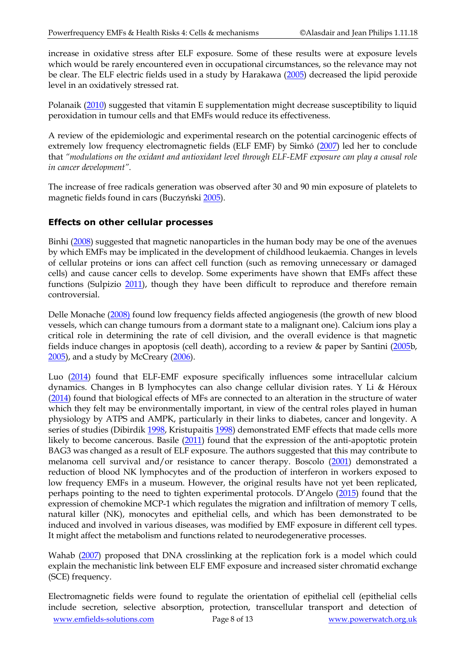increase in oxidative stress after ELF exposure. Some of these results were at exposure levels which would be rarely encountered even in occupational circumstances, so the relevance may not be clear. The ELF electric fields used in a study by Harakawa [\(2005\)](http://www.ncbi.nlm.nih.gov/pubmed/16037959) decreased the lipid peroxide level in an oxidatively stressed rat.

Polanaik [\(2010\)](http://www.ncbi.nlm.nih.gov/pubmed/20335516) suggested that vitamin E supplementation might decrease susceptibility to liquid peroxidation in tumour cells and that EMFs would reduce its effectiveness.

A review of the epidemiologic and experimental research on the potential carcinogenic effects of extremely low frequency electromagnetic fields (ELF EMF) by Simkó [\(2007\)](http://www.ncbi.nlm.nih.gov/sites/entrez?Db=pubmed&Cmd=ShowDetailView&TermToSearch=17456027&ordinalpos=1&itool=EntrezSystem2.PEntrez.Pubmed.Pubmed_ResultsPanel.Pubmed_RVDocSum) led her to conclude that *"modulations on the oxidant and antioxidant level through ELF-EMF exposure can play a causal role in cancer development".*

The increase of free radicals generation was observed after 30 and 90 min exposure of platelets to magnetic fields found in cars (Buczyński [2005\)](http://www.ncbi.nlm.nih.gov/pubmed/16119619).

#### **Effects on other cellular processes**

Binhi [\(2008\)](http://www.ncbi.nlm.nih.gov/pubmed/18661373) suggested that magnetic nanoparticles in the human body may be one of the avenues by which EMFs may be implicated in the development of childhood leukaemia. Changes in levels of cellular proteins or ions can affect cell function (such as removing unnecessary or damaged cells) and cause cancer cells to develop. Some experiments have shown that EMFs affect these functions (Sulpizio [2011\)](http://www.ncbi.nlm.nih.gov/pubmed/21826706), though they have been difficult to reproduce and therefore remain controversial.

Delle Monache [\(2008\)](http://www.ncbi.nlm.nih.gov/pubmed/18512694) found low frequency fields affected angiogenesis (the growth of new blood vessels, which can change tumours from a dormant state to a malignant one). Calcium ions play a critical role in determining the rate of cell division, and the overall evidence is that magnetic fields induce changes in apoptosis (cell death), according to a review & paper by Santini [\(2005b](http://www.ncbi.nlm.nih.gov/pubmed/15962758), [2005\)](https://www.ncbi.nlm.nih.gov/pubmed/16019920), and a study by McCreary [\(2006\)](http://www.ncbi.nlm.nih.gov/pubmed/16715520).

Luo [\(2014\)](http://www.ncbi.nlm.nih.gov/pubmed/25462671) found that ELF-EMF exposure specifically influences some intracellular calcium dynamics. Changes in B lymphocytes can also change cellular division rates. Y Li & Héroux [\(2014\)](http://www.ncbi.nlm.nih.gov/pubmed/23915261) found that biological effects of MFs are connected to an alteration in the structure of water which they felt may be environmentally important, in view of the central roles played in human physiology by ATPS and AMPK, particularly in their links to diabetes, cancer and longevity. A series of studies (Dibirdik [1998,](http://www.ncbi.nlm.nih.gov/pubmed/9461594) Kristupaitis [1998\)](http://www.ncbi.nlm.nih.gov/pubmed/9575194) demonstrated EMF effects that made cells more likely to become cancerous. Basile [\(2011\)](http://www.ncbi.nlm.nih.gov/pubmed?term=21302292) found that the expression of the anti-apoptotic protein BAG3 was changed as a result of ELF exposure. The authors suggested that this may contribute to melanoma cell survival and/or resistance to cancer therapy. Boscolo [\(2001\)](http://www.ncbi.nlm.nih.gov/pubmed/11327385) demonstrated a reduction of blood NK lymphocytes and of the production of interferon in workers exposed to low frequency EMFs in a museum. However, the original results have not yet been replicated, perhaps pointing to the need to tighten experimental protocols. D'Angelo ([2015\)](http://www.ncbi.nlm.nih.gov/pubmed/25561888) found that the expression of chemokine MCP-1 which regulates the migration and infiltration of memory T cells, natural killer (NK), monocytes and epithelial cells, and which has been demonstrated to be induced and involved in various diseases, was modified by EMF exposure in different cell types. It might affect the metabolism and functions related to neurodegenerative processes.

Wahab [\(2007\)](http://www.ncbi.nlm.nih.gov/pubmed/17080456) proposed that DNA crosslinking at the replication fork is a model which could explain the mechanistic link between ELF EMF exposure and increased sister chromatid exchange (SCE) frequency.

[www.emfields-solutions.com](http://www.emfields-solutions.com/) Page 8 of 13 [www.powerwatch.org.uk](http://www.powerwatch.org.uk/) Electromagnetic fields were found to regulate the orientation of epithelial cell (epithelial cells include secretion, selective absorption, protection, transcellular transport and detection of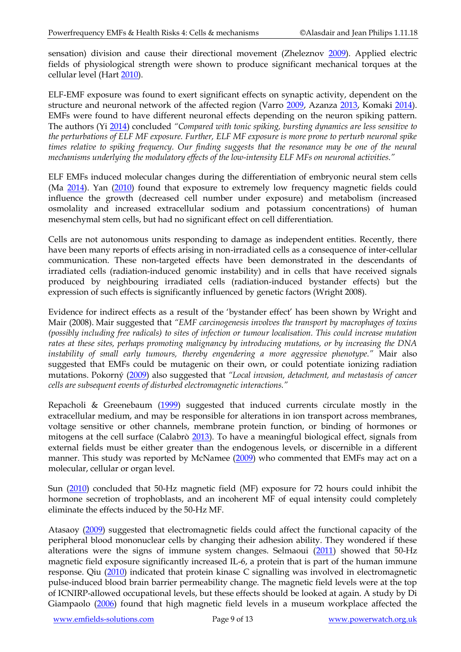sensation) division and cause their directional movement (Zheleznov [2009\)](http://www.ncbi.nlm.nih.gov/pubmed/20143542). Applied electric fields of physiological strength were shown to produce significant mechanical torques at the cellular level (Hart [2010\)](http://www.ncbi.nlm.nih.gov/pubmed/19593781).

ELF-EMF exposure was found to exert significant effects on synaptic activity, dependent on the structure and neuronal network of the affected region (Varro [2009,](http://www.ncbi.nlm.nih.gov/pubmed/19572331) Azanza [2013,](http://www.ncbi.nlm.nih.gov/pubmed/24012769) Komaki [2014\)](http://www.ncbi.nlm.nih.gov/pubmed/24727530). EMFs were found to have different neuronal effects depending on the neuron spiking pattern. The authors (Yi [2014\)](http://www.ncbi.nlm.nih.gov/pubmed/24344694) concluded *"Compared with tonic spiking, bursting dynamics are less sensitive to the perturbations of ELF MF exposure. Further, ELF MF exposure is more prone to perturb neuronal spike times relative to spiking frequency. Our finding suggests that the resonance may be one of the neural mechanisms underlying the modulatory effects of the low-intensity ELF MFs on neuronal activities."* 

ELF EMFs induced molecular changes during the differentiation of embryonic neural stem cells (Ma [2014\)](http://www.ncbi.nlm.nih.gov/pubmed/24595264). Yan [\(2010\)](https://www.ncbi.nlm.nih.gov/pubmed/20923323) found that exposure to extremely low frequency magnetic fields could influence the growth (decreased cell number under exposure) and metabolism (increased osmolality and increased extracellular sodium and potassium concentrations) of human mesenchymal stem cells, but had no significant effect on cell differentiation.

Cells are not autonomous units responding to damage as independent entities. Recently, there have been many reports of effects arising in non-irradiated cells as a consequence of inter-cellular communication. These non-targeted effects have been demonstrated in the descendants of irradiated cells (radiation-induced genomic instability) and in cells that have received signals produced by neighbouring irradiated cells (radiation-induced bystander effects) but the expression of such effects is significantly influenced by genetic factors (Wright 2008).

Evidence for indirect effects as a result of the 'bystander effect' has been shown by Wright and Mair (2008). Mair suggested that *"EMF carcinogenesis involves the transport by macrophages of toxins (possibly including free radicals) to sites of infection or tumour localisation. This could increase mutation rates at these sites, perhaps promoting malignancy by introducing mutations, or by increasing the DNA instability of small early tumours, thereby engendering a more aggressive phenotype."* Mair also suggested that EMFs could be mutagenic on their own, or could potentiate ionizing radiation mutations. Pokorný [\(2009\)](http://www.ncbi.nlm.nih.gov/pubmed/19811394) also suggested that *"Local invasion, detachment, and metastasis of cancer cells are subsequent events of disturbed electromagnetic interactions."*

Repacholi & Greenebaum [\(1999\)](http://www.ncbi.nlm.nih.gov/pubmed/10194557) suggested that induced currents circulate mostly in the extracellular medium, and may be responsible for alterations in ion transport across membranes, voltage sensitive or other channels, membrane protein function, or binding of hormones or mitogens at the cell surface (Calabrò [2013\)](http://www.ncbi.nlm.nih.gov/pubmed/23970948). To have a meaningful biological effect, signals from external fields must be either greater than the endogenous levels, or discernible in a different manner. This study was reported by McNamee [\(2009\)](http://www.ncbi.nlm.nih.gov/pubmed/19221783) who commented that EMFs may act on a molecular, cellular or organ level.

Sun [\(2010\)](http://www.ncbi.nlm.nih.gov/pubmed/21063117) concluded that 50-Hz magnetic field (MF) exposure for 72 hours could inhibit the hormone secretion of trophoblasts, and an incoherent MF of equal intensity could completely eliminate the effects induced by the 50-Hz MF.

Atasaoy [\(2009\)](http://www.ncbi.nlm.nih.gov/pubmed/19827334) suggested that electromagnetic fields could affect the functional capacity of the peripheral blood mononuclear cells by changing their adhesion ability. They wondered if these alterations were the signs of immune system changes. Selmaoui [\(2011\)](http://www.ncbi.nlm.nih.gov/pubmed/21710276) showed that 50-Hz magnetic field exposure significantly increased IL-6, a protein that is part of the human immune response. Qiu [\(2010\)](http://www.ncbi.nlm.nih.gov/pubmed/20435084) indicated that protein kinase C signalling was involved in electromagnetic pulse-induced blood brain barrier permeability change. The magnetic field levels were at the top of ICNIRP-allowed occupational levels, but these effects should be looked at again. A study by Di Giampaolo [\(2006\)](http://www.ncbi.nlm.nih.gov/pubmed/17291405?ordinalpos=12&itool=EntrezSystem2.PEntrez.Pubmed.Pubmed_ResultsPanel.Pubmed_RVDocSum) found that high magnetic field levels in a museum workplace affected the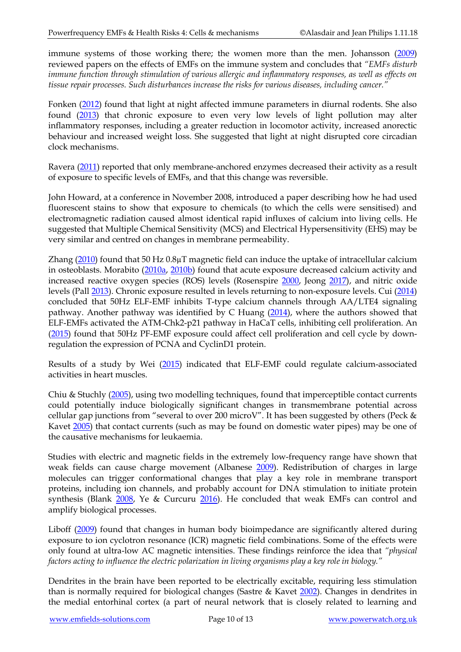immune systems of those working there; the women more than the men. Johansson [\(2009\)](http://www.ncbi.nlm.nih.gov/pubmed/19398310) reviewed papers on the effects of EMFs on the immune system and concludes that *"EMFs disturb immune function through stimulation of various allergic and inflammatory responses, as well as effects on tissue repair processes. Such disturbances increase the risks for various diseases, including cancer."*

Fonken [\(2012\)](http://www.ncbi.nlm.nih.gov/pubmed/22217098) found that light at night affected immune parameters in diurnal rodents. She also found [\(2013\)](http://www.ncbi.nlm.nih.gov/pubmed/24012645) that chronic exposure to even very low levels of light pollution may alter inflammatory responses, including a greater reduction in locomotor activity, increased anorectic behaviour and increased weight loss. She suggested that light at night disrupted core circadian clock mechanisms.

Ravera [\(2011\)](http://www.ncbi.nlm.nih.gov/pubmed/21591890) reported that only membrane-anchored enzymes decreased their activity as a result of exposure to specific levels of EMFs, and that this change was reversible.

John Howard, at a conference in November 2008, introduced a paper describing how he had used fluorescent stains to show that exposure to chemicals (to which the cells were sensitised) and electromagnetic radiation caused almost identical rapid influxes of calcium into living cells. He suggested that Multiple Chemical Sensitivity (MCS) and Electrical Hypersensitivity (EHS) may be very similar and centred on changes in membrane permeability.

Zhang [\(2010\)](http://www.ncbi.nlm.nih.gov/pubmed/20438704) found that 50 Hz 0.8µT magnetic field can induce the uptake of intracellular calcium in osteoblasts. Morabito [\(2010a,](http://www.ncbi.nlm.nih.gov/pubmed/21220925) [2010b\)](http://www.ncbi.nlm.nih.gov/pubmed/20005945) found that acute exposure decreased calcium activity and increased reactive oxygen species (ROS) levels (Rosenspire [2000,](http://www.ncbi.nlm.nih.gov/pubmed/11106607) Jeong [2017\)](https://www.ncbi.nlm.nih.gov/pubmed/28351214), and nitric oxide levels (Pall [2013\)](http://www.ncbi.nlm.nih.gov/pubmed/23802593). Chronic exposure resulted in levels returning to non-exposure levels. Cui [\(2014\)](http://www.ncbi.nlm.nih.gov/pubmed/24360572) concluded that 50Hz ELF-EMF inhibits T-type calcium channels through AA/LTE4 signaling pathway. Another pathway was identified by C Huang [\(2014\)](http://www.ncbi.nlm.nih.gov/pubmed/25111195), where the authors showed that ELF-EMFs activated the ATM-Chk2-p21 pathway in HaCaT cells, inhibiting cell proliferation. An [\(2015\)](http://www.ncbi.nlm.nih.gov/pubmed/25695503) found that 50Hz PF-EMF exposure could affect cell proliferation and cell cycle by downregulation the expression of PCNA and CyclinD1 protein.

Results of a study by Wei [\(2015\)](http://www.ncbi.nlm.nih.gov/pubmed/24499289) indicated that ELF-EMF could regulate calcium-associated activities in heart muscles.

Chiu & Stuchly [\(2005\)](http://www.ncbi.nlm.nih.gov/sites/entrez?Db=pubmed&Cmd=ShowDetailView&TermToSearch=15977739&ordinalpos=14&itool=EntrezSystem2.PEntrez.Pubmed.Pubmed_ResultsPanel.Pubmed_RVDocSum), using two modelling techniques, found that imperceptible contact currents could potentially induce biologically significant changes in transmembrane potential across cellular gap junctions from "several to over 200 microV". It has been suggested by others (Peck & Kavet [2005\)](http://www.ncbi.nlm.nih.gov/sites/entrez?Db=pubmed&Cmd=ShowDetailView&TermToSearch=15787767&ordinalpos=1&itool=EntrezSystem2.PEntrez.Pubmed.Pubmed_ResultsPanel.Pubmed_RVDocSum) that contact currents (such as may be found on domestic water pipes) may be one of the causative mechanisms for leukaemia.

Studies with electric and magnetic fields in the extremely low-frequency range have shown that weak fields can cause charge movement (Albanese [2009\)](http://www.ncbi.nlm.nih.gov/pubmed/19763276). Redistribution of charges in large molecules can trigger conformational changes that play a key role in membrane transport proteins, including ion channels, and probably account for DNA stimulation to initiate protein synthesis (Blank [2008,](http://www.ncbi.nlm.nih.gov/pubmed/18327711) Ye & Curcuru [2016\)](https://www.ncbi.nlm.nih.gov/pubmed/27053164). He concluded that weak EMFs can control and amplify biological processes.

Liboff [\(2009\)](http://preview.ncbi.nlm.nih.gov/pubmed/19811395) found that changes in human body bioimpedance are significantly altered during exposure to ion cyclotron resonance (ICR) magnetic field combinations. Some of the effects were only found at ultra-low AC magnetic intensities. These findings reinforce the idea that *"physical factors acting to influence the electric polarization in living organisms play a key role in biology."* 

Dendrites in the brain have been reported to be electrically excitable, requiring less stimulation than is normally required for biological changes (Sastre & Kavet [2002\)](http://www.ncbi.nlm.nih.gov/pubmed/12199552). Changes in dendrites in the medial entorhinal cortex (a part of neural network that is closely related to learning and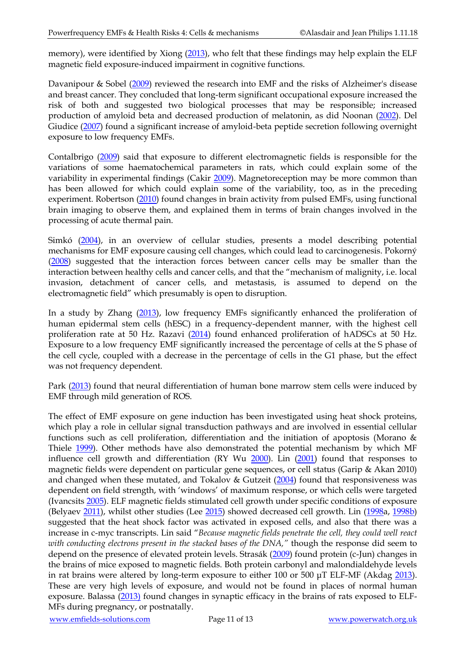memory), were identified by Xiong [\(2013\)](http://www.ncbi.nlm.nih.gov/pubmed/24376717), who felt that these findings may help explain the ELF magnetic field exposure-induced impairment in cognitive functions.

Davanipour & Sobel [\(2009\)](http://www.ncbi.nlm.nih.gov/pubmed/19278839) reviewed the research into EMF and the risks of Alzheimer's disease and breast cancer. They concluded that long-term significant occupational exposure increased the risk of both and suggested two biological processes that may be responsible; increased production of amyloid beta and decreased production of melatonin, as did Noonan [\(2002\)](http://www.ncbi.nlm.nih.gov/pubmed/12185798). Del Giudice [\(2007\)](http://www.ncbi.nlm.nih.gov/pubmed/17382472) found a significant increase of amyloid-beta peptide secretion following overnight exposure to low frequency EMFs.

Contalbrigo [\(2009\)](http://www.ncbi.nlm.nih.gov/pubmed/19950532) said that exposure to different electromagnetic fields is responsible for the variations of some haematochemical parameters in rats, which could explain some of the variability in experimental findings (Cakir [2009\)](http://www.ncbi.nlm.nih.gov/pubmed/19766897). Magnetoreception may be more common than has been allowed for which could explain some of the variability, too, as in the preceding experiment. Robertson [\(2010\)](http://www.ncbi.nlm.nih.gov/pubmed/19656823) found changes in brain activity from pulsed EMFs, using functional brain imaging to observe them, and explained them in terms of brain changes involved in the processing of acute thermal pain.

Simkó [\(2004\)](http://www.ncbi.nlm.nih.gov/sites/entrez?Db=pubmed&Cmd=ShowDetailView&TermToSearch=15517098&ordinalpos=9&itool=EntrezSystem2.PEntrez.Pubmed.Pubmed_ResultsPanel.Pubmed_RVDocSum), in an overview of cellular studies, presents a model describing potential mechanisms for EMF exposure causing cell changes, which could lead to carcinogenesis. Pokorný [\(2008\)](http://www.ncbi.nlm.nih.gov/pubmed/18697613) suggested that the interaction forces between cancer cells may be smaller than the interaction between healthy cells and cancer cells, and that the "mechanism of malignity, i.e. local invasion, detachment of cancer cells, and metastasis, is assumed to depend on the electromagnetic field" which presumably is open to disruption.

In a study by Zhang [\(2013\)](http://www.ncbi.nlm.nih.gov/pubmed/22926783), low frequency EMFs significantly enhanced the proliferation of human epidermal stem cells (hESC) in a frequency-dependent manner, with the highest cell proliferation rate at 50 Hz. Razavi [\(2014\)](https://www.ncbi.nlm.nih.gov/pubmed/24592372) found enhanced proliferation of hADSCs at 50 Hz. Exposure to a low frequency EMF significantly increased the percentage of cells at the S phase of the cell cycle, coupled with a decrease in the percentage of cells in the G1 phase, but the effect was not frequency dependent.

Park [\(2013\)](http://www.ncbi.nlm.nih.gov/pubmed/23411410) found that neural differentiation of human bone marrow stem cells were induced by EMF through mild generation of ROS.

The effect of EMF exposure on gene induction has been investigated using heat shock proteins, which play a role in cellular signal transduction pathways and are involved in essential cellular functions such as cell proliferation, differentiation and the initiation of apoptosis (Morano & Thiele [1999\)](http://www.ncbi.nlm.nih.gov/pubmed/10440228). Other methods have also demonstrated the potential mechanism by which MF influence cell growth and differentiation (RY Wu [2000\)](http://www.ncbi.nlm.nih.gov/pubmed/10972983). Lin [\(2001\)](http://www.ncbi.nlm.nih.gov/pubmed/11180404) found that responses to magnetic fields were dependent on particular gene sequences, or cell status (Garip & Akan 2010) and changed when these mutated, and Tokalov & Gutzeit [\(2004\)](http://www.ncbi.nlm.nih.gov/pubmed/14757377) found that responsiveness was dependent on field strength, with 'windows' of maximum response, or which cells were targeted (Ivancsits [2005\)](https://www.ncbi.nlm.nih.gov/pubmed/15899587). ELF magnetic fields stimulated cell growth under specific conditions of exposure (Belyaev [2011\)](http://www.ncbi.nlm.nih.gov/pubmed/21453783), whilst other studies (Lee [2015\)](https://www.ncbi.nlm.nih.gov/pubmed/26239017) showed decreased cell growth. Lin [\(1998a](http://www.ncbi.nlm.nih.gov/sites/entrez?Db=pubmed&Cmd=ShowDetailView&TermToSearch=9706866&ordinalpos=2&itool=EntrezSystem2.PEntrez.Pubmed.Pubmed_ResultsPanel.Pubmed_RVDocSum), [1998b\)](http://www.ncbi.nlm.nih.gov/sites/entrez?Db=pubmed&Cmd=ShowDetailView&TermToSearch=9548565&ordinalpos=39&itool=EntrezSystem2.PEntrez.Pubmed.Pubmed_ResultsPanel.Pubmed_RVDocSum) suggested that the heat shock factor was activated in exposed cells, and also that there was a increase in c-myc transcripts. Lin said "*Because magnetic fields penetrate the cell, they could well react with conducting electrons present in the stacked bases of the DNA,"* though the response did seem to depend on the presence of elevated protein levels. Strasák [\(2009\)](http://www.ncbi.nlm.nih.gov/pubmed/19337900) found protein (c-Jun) changes in the brains of mice exposed to magnetic fields. Both protein carbonyl and malondialdehyde levels in rat brains were altered by long-term exposure to either 100 or 500 μT ELF-MF (Akdag [2013\)](http://www.ncbi.nlm.nih.gov/pubmed/23324065). These are very high levels of exposure, and would not be found in places of normal human exposure. Balassa [\(2013\)](http://www.ncbi.nlm.nih.gov/pubmed/24012627) found changes in synaptic efficacy in the brains of rats exposed to ELF-MFs during pregnancy, or postnatally.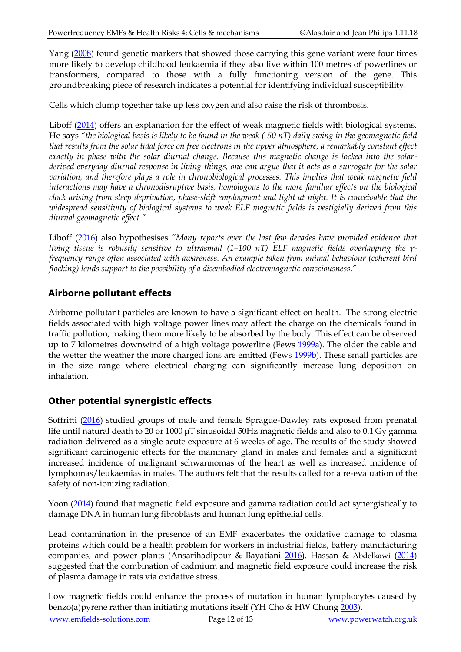Yang [\(2008\)](http://www.ncbi.nlm.nih.gov/pubmed/19052983) found genetic markers that showed those carrying this gene variant were four times more likely to develop childhood leukaemia if they also live within 100 metres of powerlines or transformers, compared to those with a fully functioning version of the gene. This groundbreaking piece of research indicates a potential for identifying individual susceptibility.

Cells which clump together take up less oxygen and also raise the risk of thrombosis.

Liboff [\(2014\)](http://www.ncbi.nlm.nih.gov/pubmed/23915203) offers an explanation for the effect of weak magnetic fields with biological systems. He says *"the biological basis is likely to be found in the weak (-50 nT) daily swing in the geomagnetic field that results from the solar tidal force on free electrons in the upper atmosphere, a remarkably constant effect exactly in phase with the solar diurnal change. Because this magnetic change is locked into the solarderived everyday diurnal response in living things, one can argue that it acts as a surrogate for the solar variation, and therefore plays a role in chronobiological processes. This implies that weak magnetic field interactions may have a chronodisruptive basis, homologous to the more familiar effects on the biological clock arising from sleep deprivation, phase-shift employment and light at night. It is conceivable that the widespread sensitivity of biological systems to weak ELF magnetic fields is vestigially derived from this diurnal geomagnetic effect."*

Liboff [\(2016\)](https://www.tandfonline.com/doi/full/10.3109/15368378.2015.1057641?src=recsys) also hypothesises *"Many reports over the last few decades have provided evidence that living tissue is robustly sensitive to ultrasmall (1–100 nT) ELF magnetic fields overlapping the γfrequency range often associated with awareness. An example taken from animal behaviour (coherent bird flocking) lends support to the possibility of a disembodied electromagnetic consciousness."*

#### **Airborne pollutant effects**

Airborne pollutant particles are known to have a significant effect on health. The strong electric fields associated with high voltage power lines may affect the charge on the chemicals found in traffic pollution, making them more likely to be absorbed by the body. This effect can be observed up to 7 kilometres downwind of a high voltage powerline (Fews [1999a\)](http://www.ncbi.nlm.nih.gov/pubmed/10622258). The older the cable and the wetter the weather the more charged ions are emitted (Fews [1999b\)](http://www.ncbi.nlm.nih.gov/pubmed/10622257). These small particles are in the size range where electrical charging can significantly increase lung deposition on inhalation.

#### **Other potential synergistic effects**

Soffritti [\(2016\)](http://www.ncbi.nlm.nih.gov/pubmed/26894944) studied groups of male and female Sprague-Dawley rats exposed from prenatal life until natural death to 20 or 1000 μT sinusoidal 50Hz magnetic fields and also to 0.1 Gy gamma radiation delivered as a single acute exposure at 6 weeks of age. The results of the study showed significant carcinogenic effects for the mammary gland in males and females and a significant increased incidence of malignant schwannomas of the heart as well as increased incidence of lymphomas/leukaemias in males. The authors felt that the results called for a re-evaluation of the safety of non-ionizing radiation.

Yoon [\(2014\)](https://www.ncbi.nlm.nih.gov/pubmed/24467330) found that magnetic field exposure and gamma radiation could act synergistically to damage DNA in human lung fibroblasts and human lung epithelial cells.

Lead contamination in the presence of an EMF exacerbates the oxidative damage to plasma proteins which could be a health problem for workers in industrial fields, battery manufacturing companies, and power plants (Ansarihadipour & Bayatiani [2016\)](https://www.ncbi.nlm.nih.gov/pubmed/27651951). Hassan & Abdelkawi [\(2014\)](https://www.ncbi.nlm.nih.gov/pubmed/23781988) suggested that the combination of cadmium and magnetic field exposure could increase the risk of plasma damage in rats via oxidative stress.

Low magnetic fields could enhance the process of mutation in human lymphocytes caused by benzo(a)pyrene rather than initiating mutations itself (YH Cho & HW Chun[g 2003\)](https://www.ncbi.nlm.nih.gov/pubmed/12697378).